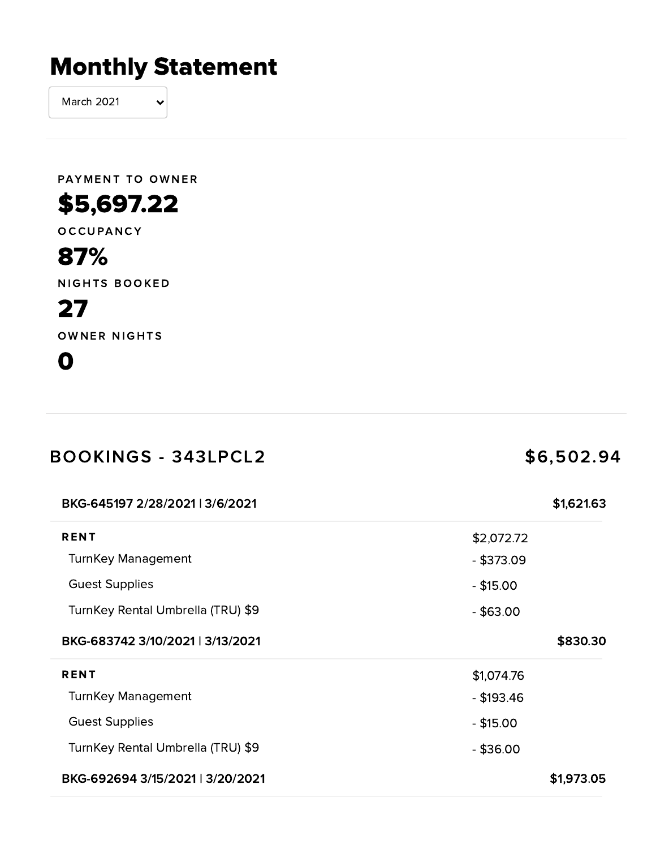# Monthly Statement

March 2021

PAYMENT TO OWNER

## \$5,697.22

O C C U PAN C Y

#### 87%

NIGHTS BOOKED

### 27

OWNER NIGHTS

#### 0

| <b>BOOKINGS - 343LPCL2</b>        | \$6,502.94   |  |
|-----------------------------------|--------------|--|
| BKG-645197 2/28/2021   3/6/2021   | \$1,621.63   |  |
| <b>RENT</b>                       | \$2,072.72   |  |
| <b>TurnKey Management</b>         | $-$ \$373.09 |  |
| <b>Guest Supplies</b>             | $-$ \$15.00  |  |
| TurnKey Rental Umbrella (TRU) \$9 | $-$ \$63.00  |  |
| BKG-683742 3/10/2021   3/13/2021  | \$830.30     |  |
| <b>RENT</b>                       | \$1,074.76   |  |
| <b>TurnKey Management</b>         | $-$ \$193.46 |  |
| <b>Guest Supplies</b>             | $-$ \$15.00  |  |
| TurnKey Rental Umbrella (TRU) \$9 | $-$ \$36.00  |  |
| BKG-692694 3/15/2021   3/20/2021  | \$1,973.05   |  |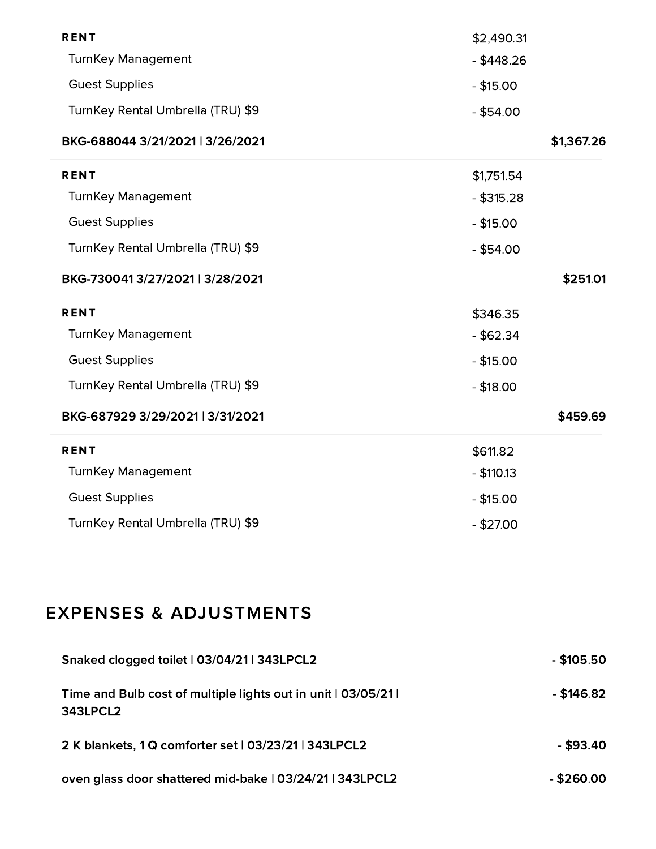| <b>RENT</b>                       | \$2,490.31   |            |
|-----------------------------------|--------------|------------|
| <b>TurnKey Management</b>         | $-$ \$448.26 |            |
| <b>Guest Supplies</b>             | $-$ \$15.00  |            |
| TurnKey Rental Umbrella (TRU) \$9 | $-$ \$54.00  |            |
| BKG-688044 3/21/2021   3/26/2021  |              | \$1,367.26 |
| <b>RENT</b>                       | \$1,751.54   |            |
| <b>TurnKey Management</b>         | $-$ \$315.28 |            |
| <b>Guest Supplies</b>             | $-$ \$15.00  |            |
| TurnKey Rental Umbrella (TRU) \$9 | $-$ \$54.00  |            |
| BKG-7300413/27/2021 3/28/2021     |              | \$251.01   |
| <b>RENT</b>                       | \$346.35     |            |
| <b>TurnKey Management</b>         | $-$ \$62.34  |            |
| <b>Guest Supplies</b>             | $-$ \$15.00  |            |
| TurnKey Rental Umbrella (TRU) \$9 | $- $18.00$   |            |
| BKG-687929 3/29/2021   3/31/2021  |              | \$459.69   |
| <b>RENT</b>                       | \$611.82     |            |
| <b>TurnKey Management</b>         | $-$ \$110.13 |            |
| <b>Guest Supplies</b>             | $-$ \$15.00  |            |
| TurnKey Rental Umbrella (TRU) \$9 | $-$ \$27.00  |            |
|                                   |              |            |
|                                   |              |            |
|                                   |              |            |
| <b>EXPENSES &amp; ADJUSTMENTS</b> |              |            |

| Time and Bulb cost of multiple lights out in unit   03/05/21 |
|--------------------------------------------------------------|
| 343LPCL2                                                     |

2 K blankets, 1 Q comforter set | 03/23/21 | 343LPCL2 - \$93.40

- \$146.82

oven glass door shattered mid-bake | 03/24/21 | 343LPCL2  $\qquad \qquad \qquad$  \$260.00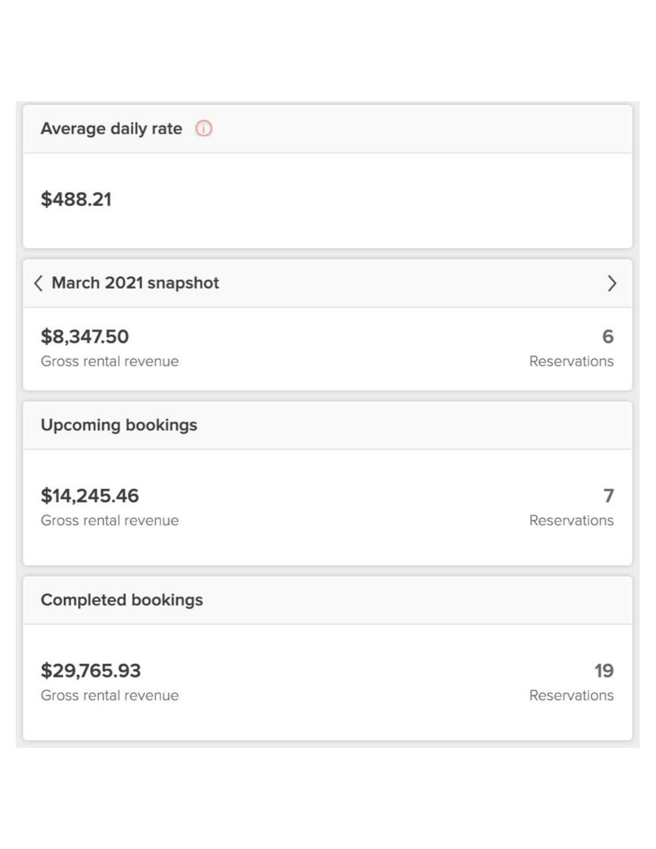| Average daily rate $\bigcirc$       |                    |
|-------------------------------------|--------------------|
| \$488.21                            |                    |
| <b>く March 2021 snapshot</b>        | ⋋                  |
| \$8,347.50<br>Gross rental revenue  | 6<br>Reservations  |
| <b>Upcoming bookings</b>            |                    |
| \$14,245.46<br>Gross rental revenue | Reservations       |
| <b>Completed bookings</b>           |                    |
| \$29,765.93<br>Gross rental revenue | 19<br>Reservations |